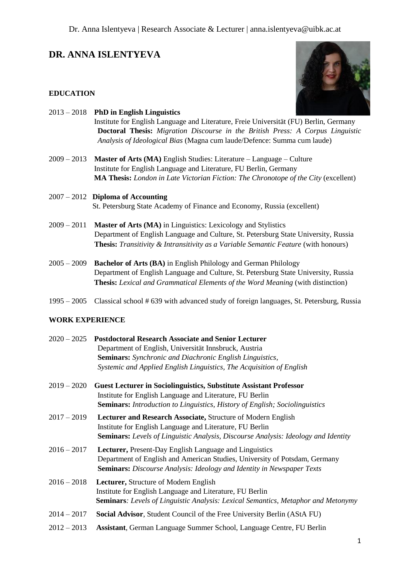# **DR. ANNA ISLENTYEVA**

## **EDUCATION**



|               | $2013 - 2018$ PhD in English Linguistics                                                   |
|---------------|--------------------------------------------------------------------------------------------|
|               | Institute for English Language and Literature, Freie Universität (FU) Berlin, Germany      |
|               | <b>Doctoral Thesis:</b> Migration Discourse in the British Press: A Corpus Linguistic      |
|               | Analysis of Ideological Bias (Magna cum laude/Defence: Summa cum laude)                    |
| $2009 - 2013$ | <b>Master of Arts (MA)</b> English Studies: Literature $-$ Language $-$ Culture            |
|               | Institute for English Language and Literature, FU Berlin, Germany                          |
|               | <b>MA Thesis:</b> London in Late Victorian Fiction: The Chronotope of the City (excellent) |
|               | $2007 - 2012$ Diploma of Accounting                                                        |
|               | St. Petersburg State Academy of Finance and Economy, Russia (excellent)                    |
| $2009 - 2011$ | <b>Master of Arts (MA)</b> in Linguistics: Lexicology and Stylistics                       |
|               | Department of English Language and Culture, St. Petersburg State University, Russia        |
|               | <b>Thesis:</b> Transitivity & Intransitivity as a Variable Semantic Feature (with honours) |
| $2005 - 2009$ | <b>Bachelor of Arts (BA)</b> in English Philology and German Philology                     |
|               | Department of English Language and Culture, St. Petersburg State University, Russia        |
|               | <b>Thesis:</b> Lexical and Grammatical Elements of the Word Meaning (with distinction)     |
|               |                                                                                            |

1995 – 2005 Classical school # 639 with advanced study of foreign languages, St. Petersburg, Russia

## **WORK EXPERIENCE**

| 2020 – 2025 Postdoctoral Research Associate and Senior Lecturer                                                                                                                                                              |
|------------------------------------------------------------------------------------------------------------------------------------------------------------------------------------------------------------------------------|
| Department of English, Universität Innsbruck, Austria                                                                                                                                                                        |
| <b>Seminars:</b> Synchronic and Diachronic English Linguistics,                                                                                                                                                              |
| Systemic and Applied English Linguistics, The Acquisition of English                                                                                                                                                         |
| <b>Guest Lecturer in Sociolinguistics, Substitute Assistant Professor</b><br>Institute for English Language and Literature, FU Berlin<br>Seminars: Introduction to Linguistics, History of English; Sociolinguistics         |
| Lecturer and Research Associate, Structure of Modern English<br>Institute for English Language and Literature, FU Berlin<br><b>Seminars:</b> Levels of Linguistic Analysis, Discourse Analysis: Ideology and Identity        |
| <b>Lecturer, Present-Day English Language and Linguistics</b><br>Department of English and American Studies, University of Potsdam, Germany<br><b>Seminars:</b> Discourse Analysis: Ideology and Identity in Newspaper Texts |
| Lecturer, Structure of Modern English<br>Institute for English Language and Literature, FU Berlin<br><b>Seminars:</b> Levels of Linguistic Analysis: Lexical Semantics, Metaphor and Metonymy                                |
| Social Advisor, Student Council of the Free University Berlin (AStA FU)                                                                                                                                                      |
| Assistant, German Language Summer School, Language Centre, FU Berlin                                                                                                                                                         |
|                                                                                                                                                                                                                              |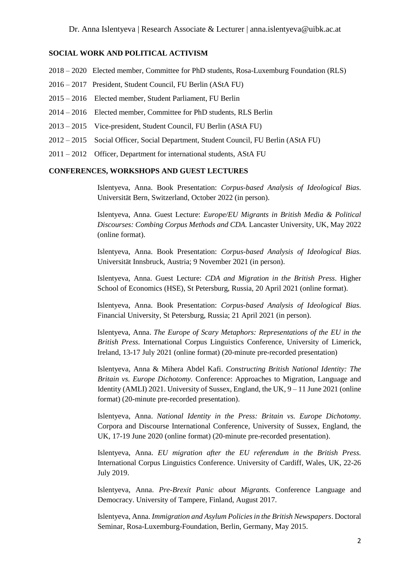#### **SOCIAL WORK AND POLITICAL ACTIVISM**

- 2018 2020 Elected member, Committee for PhD students, Rosa-Luxemburg Foundation (RLS)
- 2016 2017 President, Student Council, FU Berlin (AStA FU)
- 2015 2016 Elected member, Student Parliament, FU Berlin
- 2014 2016 Elected member, Committee for PhD students, RLS Berlin
- 2013 2015 Vice-president, Student Council, FU Berlin (AStA FU)
- 2012 2015 Social Officer, Social Department, Student Council, FU Berlin (AStA FU)
- 2011 2012 Officer, Department for international students, AStA FU

#### **CONFERENCES, WORKSHOPS AND GUEST LECTURES**

Islentyeva, Anna. Book Presentation: *Corpus-based Analysis of Ideological Bias.*  Universität Bern, Switzerland, October 2022 (in person).

Islentyeva, Anna. Guest Lecture: *Europe/EU Migrants in British Media & Political Discourses: Combing Corpus Methods and CDA.* Lancaster University, UK, May 2022 (online format).

Islentyeva, Anna. Book Presentation: *Corpus-based Analysis of Ideological Bias.*  Universität Innsbruck, Austria; 9 November 2021 (in person).

Islentyeva, Anna. Guest Lecture: *CDA and Migration in the British Press*. Higher School of Economics (HSE), St Petersburg, Russia, 20 April 2021 (online format).

Islentyeva, Anna. Book Presentation: *Corpus-based Analysis of Ideological Bias.*  Financial University, St Petersburg, Russia; 21 April 2021 (in person).

Islentyeva, Anna. *The Europe of Scary Metaphors: Representations of the EU in the British Press.* International Corpus Linguistics Conference, University of Limerick, Ireland, 13-17 July 2021 (online format) (20-minute pre-recorded presentation)

Islentyeva, Anna & Mihera Abdel Kafi. *Constructing British National Identity: The Britain vs. Europe Dichotomy.* Conference: Approaches to Migration, Language and Identity (AMLI) 2021. University of Sussex, England, the UK,  $9 - 11$  June 2021 (online format) (20-minute pre-recorded presentation).

Islentyeva, Anna. *National Identity in the Press: Britain vs. Europe Dichotomy.* Corpora and Discourse International Conference, University of Sussex, England, the UK, 17-19 June 2020 (online format) (20-minute pre-recorded presentation).

Islentyeva, Anna. *EU migration after the EU referendum in the British Press.* International Corpus Linguistics Conference. University of Cardiff, Wales, UK, 22-26 July 2019.

Islentyeva, Anna. *Pre-Brexit Panic about Migrants.* Conference Language and Democracy. University of Tampere, Finland, August 2017.

Islentyeva, Anna. *Immigration and Asylum Policies in the British Newspapers*. Doctoral Seminar, Rosa-Luxemburg-Foundation, Berlin, Germany, May 2015.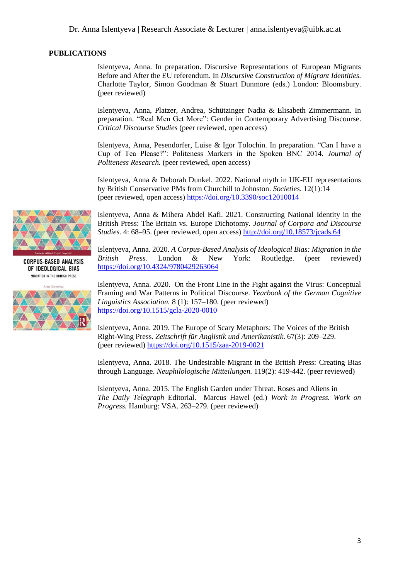## **PUBLICATIONS**

Islentyeva, Anna. In preparation. Discursive Representations of European Migrants Before and After the EU referendum. In *Discursive Construction of Migrant Identities.* Charlotte Taylor, Simon Goodman & Stuart Dunmore (eds.) London: Bloomsbury. (peer reviewed)

Islentyeva, Anna, Platzer, Andrea, Schützinger Nadia & Elisabeth Zimmermann. In preparation. "Real Men Get More": Gender in Contemporary Advertising Discourse. *Critical Discourse Studies* (peer reviewed, open access)

Islentyeva, Anna, Pesendorfer, Luise & Igor Tolochin. In preparation. "Can I have a Cup of Tea Please?": Politeness Markers in the Spoken BNC 2014. *Journal of Politeness Research.* (peer reviewed, open access)

Islentyeva, Anna & Deborah Dunkel. 2022. National myth in UK-EU representations by British Conservative PMs from Churchill to Johnston. *Societies.* 12(1):14 (peer reviewed, open access)<https://doi.org/10.3390/soc12010014>

Islentyeva, Anna & Mihera Abdel Kafi. 2021. Constructing National Identity in the British Press: The Britain vs. Europe Dichotomy. *Journal of Corpora and Discourse Studies.* 4: 68–95. (peer reviewed, open access) <http://doi.org/10.18573/jcads.64>

Islentyeva, Anna. 2020. *A Corpus-Based Analysis of Ideological Bias: Migration in the British Press.* London & New York: Routledge. (peer reviewed) <https://doi.org/10.4324/9780429263064>

Islentyeva, Anna. 2020. On the Front Line in the Fight against the Virus: Conceptual Framing and War Patterns in Political Discourse. *Yearbook of the German Cognitive Linguistics Association.* 8 (1): 157–180. (peer reviewed) <https://doi.org/10.1515/gcla-2020-0010>

Islentyeva, Anna. 2019. The Europe of Scary Metaphors: The Voices of the British Right-Wing Press. *Zeitschrift für Anglistik und Amerikanistik*. 67(3): 209–229. (peer reviewed) <https://doi.org/10.1515/zaa-2019-0021>

Islentyeva, Anna. 2018. The Undesirable Migrant in the British Press: Creating Bias through Language. *Neuphilologische Mitteilungen.* 119(2): 419-442. (peer reviewed)

Islentyeva, Anna. 2015. The English Garden under Threat. Roses and Aliens in *The Daily Telegraph* Editorial. Marcus Hawel (ed.) *Work in Progress. Work on Progress.* Hamburg: VSA. 263–279. (peer reviewed)



**CORPUS-BASED ANALYSIS** OF IDEOLOGICAL BIAS MIGRATION IN THE BRITISH PRESS